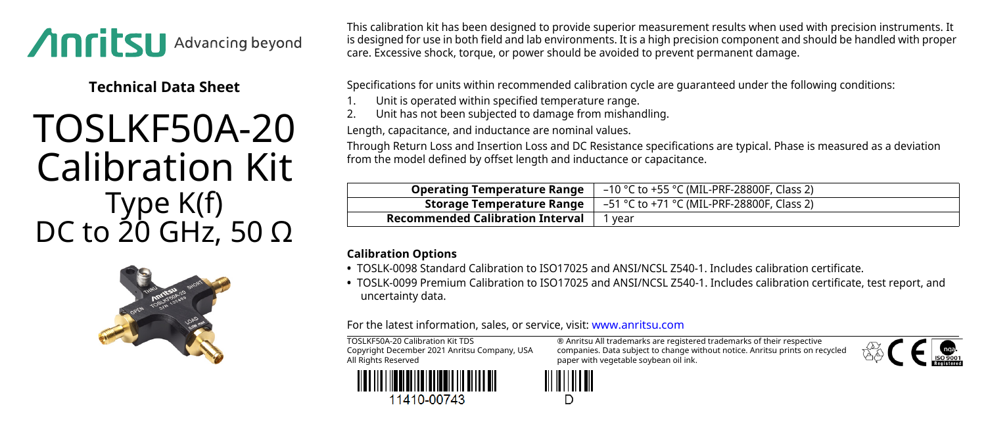

**Technical Data Sheet**

## TOSLKF50A-20 Calibration Kit Type K(f) DC to 20 GHz, 50  $\Omega$



This calibration kit has been designed to provide superior measurement results when used with precision instruments. It is designed for use in both field and lab environments. It is a high precision component and should be handled with proper care. Excessive shock, torque, or power should be avoided to prevent permanent damage.

Specifications for units within recommended calibration cycle are guaranteed under the following conditions:

- 1. Unit is operated within specified temperature range.<br>2. Unit has not been subjected to damage from mishan
- 2. Unit has not been subjected to damage from mishandling.

Length, capacitance, and inductance are nominal values.

Through Return Loss and Insertion Loss and DC Resistance specifications are typical. Phase is measured as a deviation from the model defined by offset length and inductance or capacitance.

| <b>Operating Temperature Range</b>      | –10 °C to +55 °C (MIL-PRF-28800F, Class 2) |
|-----------------------------------------|--------------------------------------------|
| Storage Temperature Range               | –51 °C to +71 °C (MIL-PRF-28800F, Class 2) |
| <b>Recommended Calibration Interval</b> | vear                                       |

## **Calibration Options**

- **•** TOSLK-0098 Standard Calibration to ISO17025 and ANSI/NCSL Z540-1. Includes calibration certificate.
- **•** TOSLK-0099 Premium Calibration to ISO17025 and ANSI/NCSL Z540-1. Includes calibration certificate, test report, and uncertainty data.

For the latest information, sales, or service, visit: [www.anritsu.com](http://www.anritsu.com)

TOSLKF50A-20 Calibration Kit TDS Copyright December 2021 Anritsu Company, USA All Rights Reserved



® Anritsu All trademarks are registered trademarks of their respective companies. Data subject to change without notice. Anritsu prints on recycled paper with vegetable soybean oil ink.